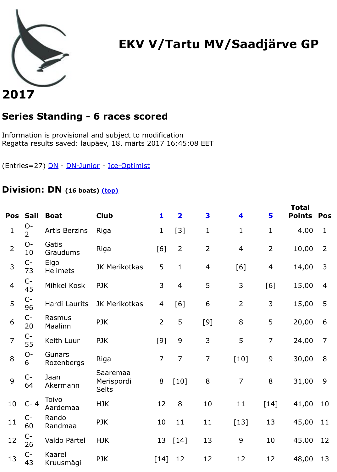# **2017**

## **Series Standing - 6 races scored**

Information is provisional and subject to modification Regatta results saved: laupäev, 18. märts 2017 16:45:08 EET

(Entries=27) DN - DN-Junior - Ice-Optimist

#### **Division: DN (16 boats) (top)**

| Pos            | <b>Sail</b>            | <b>Boat</b>             | <b>Club</b>                            | 1              | $\overline{\mathbf{2}}$ | $\overline{\mathbf{3}}$ | $\overline{\mathbf{4}}$ | <u>5</u>       | Pd |
|----------------|------------------------|-------------------------|----------------------------------------|----------------|-------------------------|-------------------------|-------------------------|----------------|----|
| 1              | $O-$<br>$\overline{2}$ | Artis Berzins           | Riga                                   | $\mathbf{1}$   | $[3]$                   | $\mathbf 1$             | $\mathbf{1}$            | $\mathbf{1}$   |    |
| $\overline{2}$ | $O -$<br>10            | Gatis<br>Graudums       | Riga                                   | [6]            | $\overline{2}$          | $\overline{2}$          | $\overline{4}$          | $\overline{2}$ |    |
| 3              | $C-$<br>73             | Eigo<br><b>Helimets</b> | JK Merikotkas                          | 5              | $\mathbf{1}$            | $\overline{4}$          | [6]                     | $\overline{4}$ |    |
| $\overline{4}$ | $C-$<br>45             | Mihkel Kosk             | <b>PJK</b>                             | 3              | $\overline{4}$          | 5                       | 3                       | [6]            |    |
| 5              | $C-$<br>96             | Hardi Laurits           | JK Merikotkas                          | 4              | [6]                     | 6                       | $\overline{2}$          | 3              |    |
| 6              | $C-$<br>20             | Rasmus<br>Maalinn       | <b>PJK</b>                             | $\overline{2}$ | 5                       | [9]                     | 8                       | 5              |    |
| $\overline{7}$ | C-<br>55               | Keith Luur              | <b>PJK</b>                             | [9]            | 9                       | 3                       | 5                       | $\overline{7}$ |    |
| 8              | $O -$<br>6             | Gunars<br>Rozenbergs    | Riga                                   | $\overline{7}$ | $\overline{7}$          | $\overline{7}$          | $[10]$                  | 9              |    |
| 9              | $C-$<br>64             | Jaan<br>Akermann        | Saaremaa<br>Merispordi<br><b>Selts</b> | 8              | $[10]$                  | $8\,$                   | $\overline{7}$          | 8              |    |
| 10             | $C - 4$                | Toivo<br>Aardemaa       | <b>HJK</b>                             | 12             | 8                       | 10                      | 11                      | $[14]$         |    |
| 11             | C-<br>60               | Rando<br>Randmaa        | PJK                                    | 10             | 11                      | 11                      | $[13]$                  | 13             |    |
| 12             | $C-$<br>26             | Valdo Pärtel            | <b>HJK</b>                             |                | 13 [14]                 | 13                      | 9                       | 10             |    |
| 13             | $C-$<br>43             | Kaarel<br>Kruusmägi     | <b>PJK</b>                             | $[14]$         | 12                      | 12                      | 12                      | 12             |    |

**Total**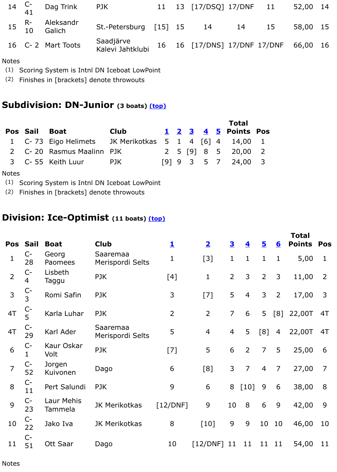#### **Subdivision: DN-Junior (3 boats) (top)**

|               |                                                        |             |  |  | <b>Total</b>         |  |  |
|---------------|--------------------------------------------------------|-------------|--|--|----------------------|--|--|
| Pos Sail Boat |                                                        | <b>Club</b> |  |  | 1 2 3 4 5 Points Pos |  |  |
|               | 1 C-73 Eigo Helimets JK Merikotkas 5 1 4 [6] 4 14,00 1 |             |  |  |                      |  |  |
|               | 2 C-20 Rasmus Maalinn PJK                              |             |  |  | 2 5 [9] 8 5 20,00 2  |  |  |
|               | 3 C-55 Keith Luur                                      | <b>PJK</b>  |  |  | [9] 9 3 5 7 24,00 3  |  |  |

#### Notes

- (1) Scoring System is Intnl DN Iceboat LowPoint
- (2) Finishes in [brackets] denote throwouts

### **Division: Ice-Optimist (11 boats) (top[\)](file:///Users/trumpit/Desktop/JavaScore%207.2.2/Desktop/reports/EKVVTartuMVSaadj%C3%A4rveGP%202017/EKVVTartuMVSaadj%C3%A4rveGP%202017_race1.html#DN-Junior)**

| Pos            | <b>Sail</b>         | <b>Boat</b>           | <b>Club</b>                  | $\overline{\mathbf{1}}$ | $\overline{\mathbf{2}}$ | $\overline{\mathbf{3}}$ | $\overline{\mathbf{4}}$ | $\overline{\mathbf{5}}$ | <u>6</u>       | Pd             |
|----------------|---------------------|-----------------------|------------------------------|-------------------------|-------------------------|-------------------------|-------------------------|-------------------------|----------------|----------------|
| $\mathbf{1}$   | $C-$<br>28          | Georg<br>Paomees      | Saaremaa<br>Merispordi Selts | $\mathbf 1$             | $[3]$                   | $\mathbf{1}$            | $\mathbf{1}$            | $\mathbf{1}$            | $\mathbf{1}$   |                |
| $\overline{2}$ | $C-$<br>4           | Lisbeth<br>Taggu      | <b>PJK</b>                   | [4]                     | $\mathbf{1}$            | $\overline{2}$          | 3                       | $\overline{2}$          | 3              |                |
| 3              | $C-$<br>3           | Romi Safin            | <b>PJK</b>                   | 3                       | $[7]$                   | 5                       | $\overline{4}$          | 3                       | $\overline{2}$ |                |
| 4T             | $C-$<br>5           | Karla Luhar           | <b>PJK</b>                   | $\overline{2}$          | $\overline{2}$          | $\overline{7}$          | 6                       | 5                       | [8]            | 2 <sub>1</sub> |
| 4T             | C-<br>29            | Karl Ader             | Saaremaa<br>Merispordi Selts | 5                       | $\overline{4}$          | $\overline{4}$          | 5                       | [8]                     | $\overline{4}$ | 2 <sup>1</sup> |
| 6              | $C-$<br>$\mathbf 1$ | Kaur Oskar<br>Volt    | <b>PJK</b>                   | $[7]$                   | 5                       | 6                       | $\overline{2}$          | $\overline{7}$          | 5              |                |
| $\overline{7}$ | $C-$<br>52          | Jorgen<br>Kuivonen    | Dago                         | 6                       | [8]                     | 3                       | $\overline{7}$          | $\overline{4}$          | $\overline{7}$ |                |
| 8              | $C-$<br>11          | Pert Salundi          | <b>PJK</b>                   | 9                       | 6                       | 8                       | $[10]$                  | 9                       | 6              |                |
| 9              | $C-$<br>23          | Laur Mehis<br>Tammela | JK Merikotkas                | [12/DNF]                | 9                       | 10                      | 8                       | 6                       | 9              |                |
| 10             | C-<br>22            | Jako Iva              | JK Merikotkas                | 8                       | $[10]$                  | 9                       | 9                       | 10                      | 10             |                |
| 11             | $C-$<br>51          | Ott Saar              | Dago                         | 10                      | $[12/DNF]$ 11           |                         | 11                      | 11                      | 11             |                |

**Total**